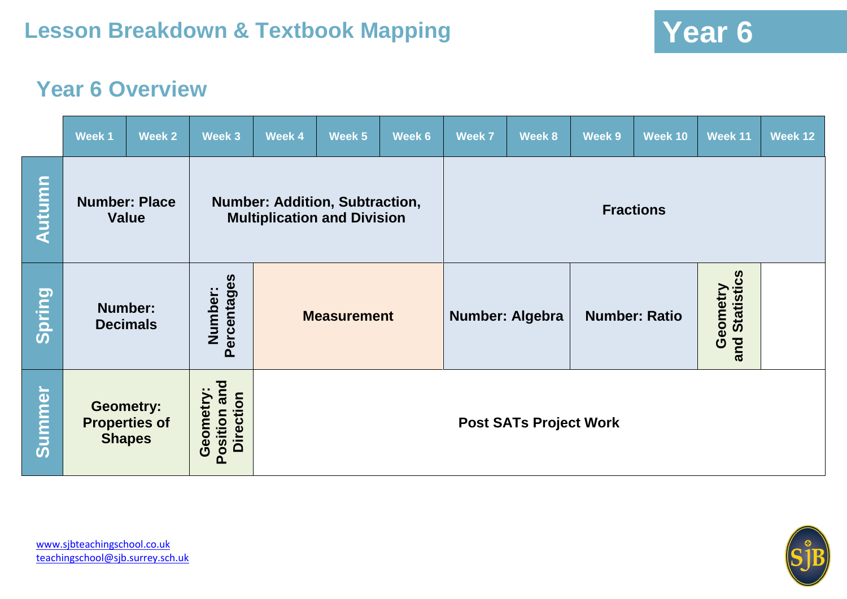## **Year 6 Overview**

|               | Week 1                               | Week 2               | Week 3                                       | Week 4                                                                      | Week 5 | Week 6 | <b>Week 7</b>    | Week 8               | Week 9 | Week 10                              | Week 11 | Week 12 |
|---------------|--------------------------------------|----------------------|----------------------------------------------|-----------------------------------------------------------------------------|--------|--------|------------------|----------------------|--------|--------------------------------------|---------|---------|
| <b>Autumn</b> | <b>Number: Place</b><br><b>Value</b> |                      |                                              | <b>Number: Addition, Subtraction,</b><br><b>Multiplication and Division</b> |        |        | <b>Fractions</b> |                      |        |                                      |         |         |
| Spring        | <b>Decimals</b>                      | <b>Number:</b>       | Percentages<br>Number:                       | <b>Measurement</b>                                                          |        |        | Number: Algebra  | <b>Number: Ratio</b> |        | <b>Statistics</b><br>Geometry<br>and |         |         |
| <b>Summer</b> | <b>Geometry:</b><br><b>Shapes</b>    | <b>Properties of</b> | Position and<br><b>Direction</b><br>Geometry | <b>Post SATs Project Work</b>                                               |        |        |                  |                      |        |                                      |         |         |

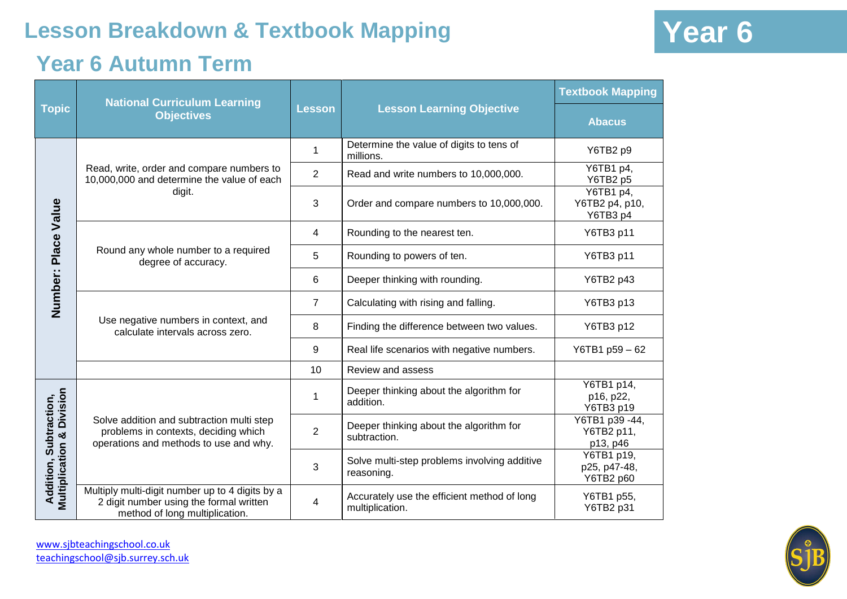### **Year 6 Autumn Term**

|                                                                 | <b>National Curriculum Learning</b>                                                                                          | <b>Lesson</b>  |                                                                | <b>Textbook Mapping</b>                  |
|-----------------------------------------------------------------|------------------------------------------------------------------------------------------------------------------------------|----------------|----------------------------------------------------------------|------------------------------------------|
| <b>Topic</b>                                                    | <b>Objectives</b>                                                                                                            |                | <b>Lesson Learning Objective</b>                               | <b>Abacus</b>                            |
| Number: Place Value                                             |                                                                                                                              |                | Determine the value of digits to tens of<br>millions.          | Y6TB2 p9                                 |
|                                                                 | Read, write, order and compare numbers to<br>10,000,000 and determine the value of each                                      | $\overline{2}$ | Read and write numbers to 10,000,000.                          | Y6TB1 p4,<br>Y6TB2 p5                    |
|                                                                 | digit.                                                                                                                       | 3              | Order and compare numbers to 10,000,000.                       | Y6TB1 p4,<br>Y6TB2 p4, p10,<br>Y6TB3 p4  |
|                                                                 |                                                                                                                              | 4              | Rounding to the nearest ten.                                   | Y6TB3 p11                                |
|                                                                 | Round any whole number to a required<br>degree of accuracy.                                                                  | 5              | Rounding to powers of ten.                                     | Y6TB3 p11                                |
|                                                                 |                                                                                                                              | 6              | Deeper thinking with rounding.                                 | Y6TB2 p43                                |
|                                                                 |                                                                                                                              | 7              | Calculating with rising and falling.                           | Y6TB3 p13                                |
|                                                                 | Use negative numbers in context, and<br>calculate intervals across zero.                                                     | 8              | Finding the difference between two values.                     | Y6TB3 p12                                |
|                                                                 |                                                                                                                              | 9              | Real life scenarios with negative numbers.                     | Y6TB1 p59-62                             |
|                                                                 |                                                                                                                              | 10             | Review and assess                                              |                                          |
| <b>Addition, Subtraction,<br/>Multiplication &amp; Division</b> |                                                                                                                              | 1              | Deeper thinking about the algorithm for<br>addition.           | Y6TB1 p14,<br>p16, p22,<br>Y6TB3 p19     |
|                                                                 | Solve addition and subtraction multi step<br>problems in contexts, deciding which<br>operations and methods to use and why.  | $\overline{2}$ | Deeper thinking about the algorithm for<br>subtraction.        | Y6TB1 p39 -44,<br>Y6TB2 p11,<br>p13, p46 |
|                                                                 |                                                                                                                              | 3              | Solve multi-step problems involving additive<br>reasoning.     | Y6TB1 p19,<br>p25, p47-48,<br>Y6TB2 p60  |
|                                                                 | Multiply multi-digit number up to 4 digits by a<br>2 digit number using the formal written<br>method of long multiplication. | 4              | Accurately use the efficient method of long<br>multiplication. | Y6TB1 p55,<br>Y6TB2 p31                  |



[www.sjbteachingschool.co.uk](http://www.sjbteachingschool.co.uk/) [teachingschool@sjb.surrey.sch.uk](mailto:teachingschool@sjb.surrey.sch.uk)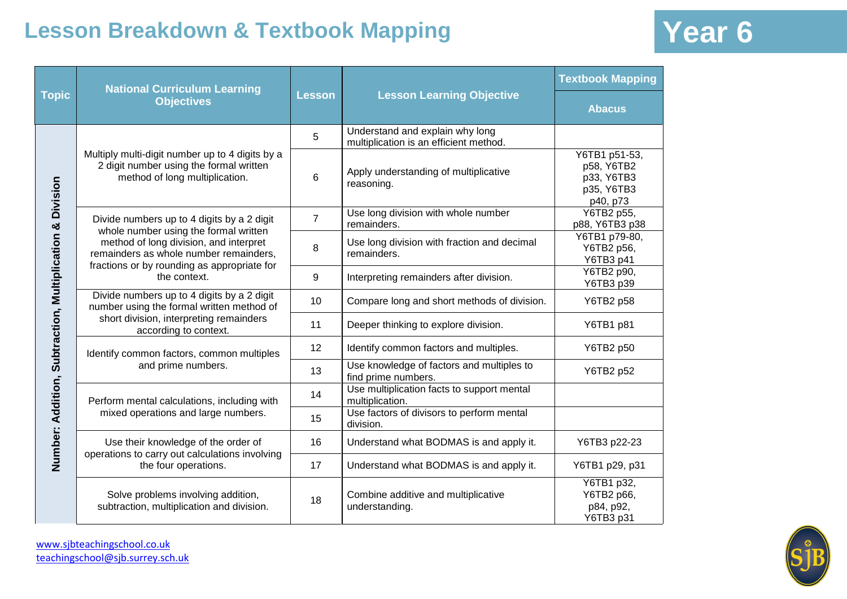|                                                          | <b>National Curriculum Learning</b>                                                                                             |                |                                                                           | <b>Textbook Mapping</b>                                             |
|----------------------------------------------------------|---------------------------------------------------------------------------------------------------------------------------------|----------------|---------------------------------------------------------------------------|---------------------------------------------------------------------|
| <b>Topic</b>                                             | <b>Objectives</b>                                                                                                               | <b>Lesson</b>  | <b>Lesson Learning Objective</b>                                          | <b>Abacus</b>                                                       |
|                                                          |                                                                                                                                 | 5              | Understand and explain why long<br>multiplication is an efficient method. |                                                                     |
|                                                          | Multiply multi-digit number up to 4 digits by a<br>2 digit number using the formal written<br>method of long multiplication.    | 6              | Apply understanding of multiplicative<br>reasoning.                       | Y6TB1 p51-53,<br>p58, Y6TB2<br>p33, Y6TB3<br>p35, Y6TB3<br>p40, p73 |
|                                                          | Divide numbers up to 4 digits by a 2 digit<br>whole number using the formal written                                             | $\overline{7}$ | Use long division with whole number<br>remainders.                        | Y6TB2 p55,<br>p88, Y6TB3 p38                                        |
|                                                          | method of long division, and interpret<br>remainders as whole number remainders,<br>fractions or by rounding as appropriate for | 8              | Use long division with fraction and decimal<br>remainders.                | Y6TB1 p79-80,<br>Y6TB2 p56,<br>Y6TB3 p41                            |
|                                                          | the context.                                                                                                                    | 9              | Interpreting remainders after division.                                   | Y6TB2 p90,<br>Y6TB3 p39                                             |
|                                                          | Divide numbers up to 4 digits by a 2 digit<br>number using the formal written method of                                         | 10             | Compare long and short methods of division.                               | Y6TB2 p58                                                           |
|                                                          | short division, interpreting remainders<br>according to context.                                                                | 11             | Deeper thinking to explore division.                                      | Y6TB1 p81                                                           |
|                                                          | Identify common factors, common multiples                                                                                       | 12             | Identify common factors and multiples.                                    | Y6TB2 p50                                                           |
|                                                          | and prime numbers.                                                                                                              | 13             | Use knowledge of factors and multiples to<br>find prime numbers.          | Y6TB2 p52                                                           |
|                                                          | Perform mental calculations, including with<br>mixed operations and large numbers.                                              | 14             | Use multiplication facts to support mental<br>multiplication.             |                                                                     |
|                                                          |                                                                                                                                 | 15             | Use factors of divisors to perform mental<br>division.                    |                                                                     |
| Number: Addition, Subtraction, Multiplication & Division | Use their knowledge of the order of<br>operations to carry out calculations involving                                           | 16             | Understand what BODMAS is and apply it.                                   | Y6TB3 p22-23                                                        |
|                                                          | the four operations.                                                                                                            | 17             | Understand what BODMAS is and apply it.                                   | Y6TB1 p29, p31                                                      |
|                                                          | Solve problems involving addition,<br>subtraction, multiplication and division.                                                 | 18             | Combine additive and multiplicative<br>understanding.                     | Y6TB1 p32,<br>Y6TB2 p66,<br>p84, p92,<br>Y6TB3 p31                  |

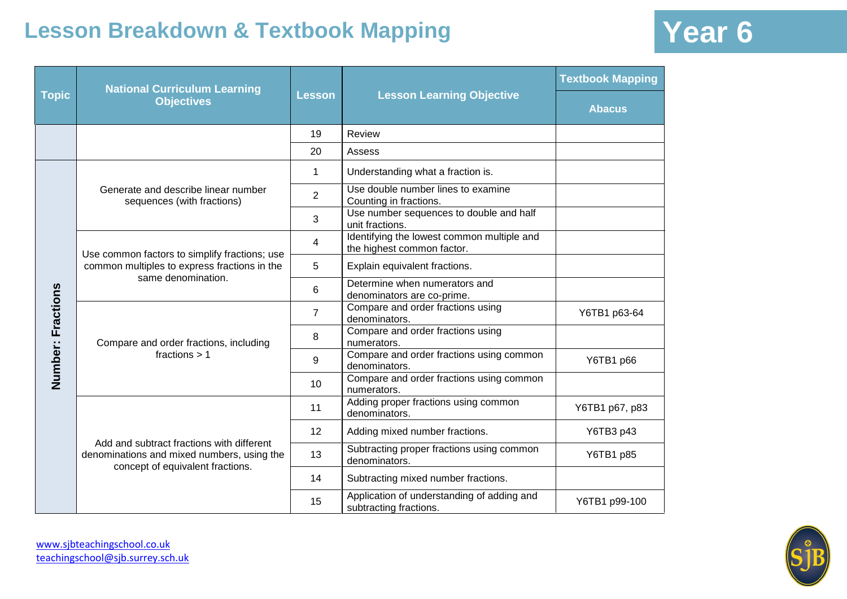|                   | <b>National Curriculum Learning</b>                                                                                         |                |                                                                          | <b>Textbook Mapping</b> |
|-------------------|-----------------------------------------------------------------------------------------------------------------------------|----------------|--------------------------------------------------------------------------|-------------------------|
| <b>Topic</b>      | <b>Objectives</b>                                                                                                           | <b>Lesson</b>  | <b>Lesson Learning Objective</b>                                         | <b>Abacus</b>           |
|                   |                                                                                                                             | 19             | Review                                                                   |                         |
|                   |                                                                                                                             | 20             | Assess                                                                   |                         |
|                   | Generate and describe linear number<br>sequences (with fractions)                                                           | $\mathbf{1}$   | Understanding what a fraction is.                                        |                         |
|                   |                                                                                                                             | $\overline{2}$ | Use double number lines to examine<br>Counting in fractions.             |                         |
|                   |                                                                                                                             | 3              | Use number sequences to double and half<br>unit fractions.               |                         |
|                   | Use common factors to simplify fractions; use<br>common multiples to express fractions in the<br>same denomination.         | 4              | Identifying the lowest common multiple and<br>the highest common factor. |                         |
|                   |                                                                                                                             | 5              | Explain equivalent fractions.                                            |                         |
|                   |                                                                                                                             | 6              | Determine when numerators and<br>denominators are co-prime.              |                         |
| Number: Fractions | Compare and order fractions, including<br>fractions $> 1$                                                                   | $\overline{7}$ | Compare and order fractions using<br>denominators.                       | Y6TB1 p63-64            |
|                   |                                                                                                                             | 8              | Compare and order fractions using<br>numerators.                         |                         |
|                   |                                                                                                                             | 9              | Compare and order fractions using common<br>denominators.                | Y6TB1 p66               |
|                   |                                                                                                                             | 10             | Compare and order fractions using common<br>numerators.                  |                         |
|                   | Add and subtract fractions with different<br>denominations and mixed numbers, using the<br>concept of equivalent fractions. | 11             | Adding proper fractions using common<br>denominators.                    | Y6TB1 p67, p83          |
|                   |                                                                                                                             | 12             | Adding mixed number fractions.                                           | Y6TB3 p43               |
|                   |                                                                                                                             | 13             | Subtracting proper fractions using common<br>denominators.               | Y6TB1 p85               |
|                   |                                                                                                                             | 14             | Subtracting mixed number fractions.                                      |                         |
|                   |                                                                                                                             | 15             | Application of understanding of adding and<br>subtracting fractions.     | Y6TB1 p99-100           |